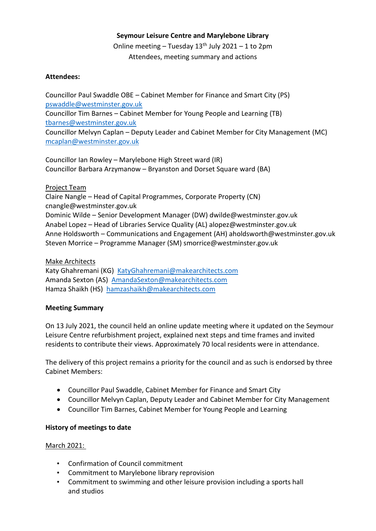# **Seymour Leisure Centre and Marylebone Library**

Online meeting – Tuesday  $13<sup>th</sup>$  July 2021 – 1 to 2pm Attendees, meeting summary and actions

# **Attendees:**

Councillor Paul Swaddle OBE – Cabinet Member for Finance and Smart City (PS) [pswaddle@westminster.gov.uk](mailto:pswaddle@westminster.gov.uk) Councillor Tim Barnes – Cabinet Member for Young People and Learning (TB) [tbarnes@westminster.gov.uk](mailto:tbarnes@westminster.gov.uk) Councillor Melvyn Caplan – Deputy Leader and Cabinet Member for City Management (MC) [mcaplan@westminster.gov.uk](mailto:mcaplan@westminster.gov.uk)

Councillor Ian Rowley – Marylebone High Street ward (IR) Councillor Barbara Arzymanow – Bryanston and Dorset Square ward (BA)

# Project Team

Claire Nangle – Head of Capital Programmes, Corporate Property (CN) cnangle@westminster.gov.uk Dominic Wilde – Senior Development Manager (DW) dwilde@westminster.gov.uk Anabel Lopez – Head of Libraries Service Quality (AL) alopez@westminster.gov.uk Anne Holdsworth – Communications and Engagement (AH) aholdsworth@westminster.gov.uk Steven Morrice – Programme Manager (SM) smorrice@westminster.gov.uk

#### Make Architects

Katy Ghahremani (KG) [KatyGhahremani@makearchitects.com](mailto:KatyGhahremani@makearchitects.com) Amanda Sexton (AS) [AmandaSexton@makearchitects.com](mailto:AmandaSexton@makearchitects.com) Hamza Shaikh (HS) [hamzashaikh@makearchitects.com](mailto:hamzashaikh@makearchitects.com)

# **Meeting Summary**

On 13 July 2021, the council held an online update meeting where it updated on the Seymour Leisure Centre refurbishment project, explained next steps and time frames and invited residents to contribute their views. Approximately 70 local residents were in attendance.

The delivery of this project remains a priority for the council and as such is endorsed by three Cabinet Members:

- Councillor Paul Swaddle, Cabinet Member for Finance and Smart City
- Councillor Melvyn Caplan, Deputy Leader and Cabinet Member for City Management
- Councillor Tim Barnes, Cabinet Member for Young People and Learning

# **History of meetings to date**

# March 2021:

- Confirmation of Council commitment
- Commitment to Marylebone library reprovision
- Commitment to swimming and other leisure provision including a sports hall and studios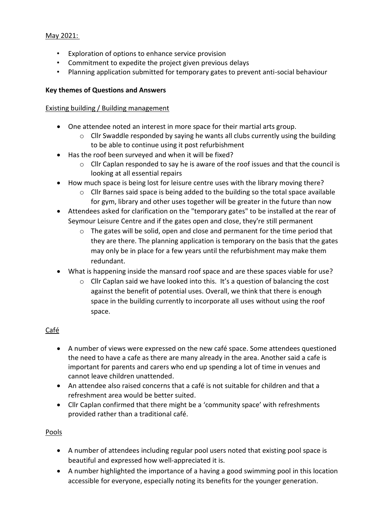# May 2021:

- Exploration of options to enhance service provision
- Commitment to expedite the project given previous delays
- Planning application submitted for temporary gates to prevent anti-social behaviour

# **Key themes of Questions and Answers**

# Existing building / Building management

- One attendee noted an interest in more space for their martial arts group.
	- $\circ$  Cllr Swaddle responded by saying he wants all clubs currently using the building to be able to continue using it post refurbishment
- Has the roof been surveyed and when it will be fixed?
	- $\circ$  Cllr Caplan responded to say he is aware of the roof issues and that the council is looking at all essential repairs
- How much space is being lost for leisure centre uses with the library moving there?
	- o Cllr Barnes said space is being added to the building so the total space available for gym, library and other uses together will be greater in the future than now
- Attendees asked for clarification on the "temporary gates" to be installed at the rear of Seymour Leisure Centre and if the gates open and close, they're still permanent
	- $\circ$  The gates will be solid, open and close and permanent for the time period that they are there. The planning application is temporary on the basis that the gates may only be in place for a few years until the refurbishment may make them redundant.
- What is happening inside the mansard roof space and are these spaces viable for use?
	- $\circ$  Cllr Caplan said we have looked into this. It's a question of balancing the cost against the benefit of potential uses. Overall, we think that there is enough space in the building currently to incorporate all uses without using the roof space.

# Café

- A number of views were expressed on the new café space. Some attendees questioned the need to have a cafe as there are many already in the area. Another said a cafe is important for parents and carers who end up spending a lot of time in venues and cannot leave children unattended.
- An attendee also raised concerns that a café is not suitable for children and that a refreshment area would be better suited.
- Cllr Caplan confirmed that there might be a 'community space' with refreshments provided rather than a traditional café.

# Pools

- A number of attendees including regular pool users noted that existing pool space is beautiful and expressed how well-appreciated it is.
- A number highlighted the importance of a having a good swimming pool in this location accessible for everyone, especially noting its benefits for the younger generation.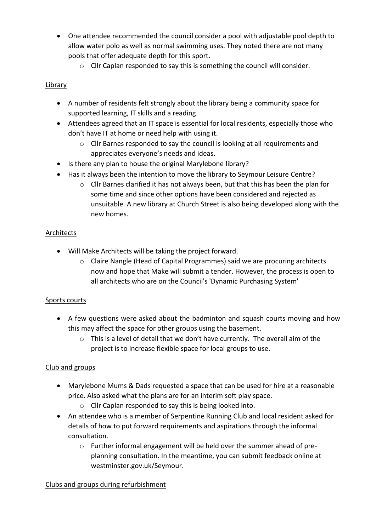- One attendee recommended the council consider a pool with adjustable pool depth to allow water polo as well as normal swimming uses. They noted there are not many pools that offer adequate depth for this sport.
	- o Cllr Caplan responded to say this is something the council will consider.

# Library

- A number of residents felt strongly about the library being a community space for supported learning, IT skills and a reading.
- Attendees agreed that an IT space is essential for local residents, especially those who don't have IT at home or need help with using it.
	- o Cllr Barnes responded to say the council is looking at all requirements and appreciates everyone's needs and ideas.
- Is there any plan to house the original Marylebone library?
- Has it always been the intention to move the library to Seymour Leisure Centre?
	- $\circ$  Cllr Barnes clarified it has not always been, but that this has been the plan for some time and since other options have been considered and rejected as unsuitable. A new library at Church Street is also being developed along with the new homes.

# Architects

- Will Make Architects will be taking the project forward.
	- o Claire Nangle (Head of Capital Programmes) said we are procuring architects now and hope that Make will submit a tender. However, the process is open to all architects who are on the Council's 'Dynamic Purchasing System'

# Sports courts

- A few questions were asked about the badminton and squash courts moving and how this may affect the space for other groups using the basement.
	- $\circ$  This is a level of detail that we don't have currently. The overall aim of the project is to increase flexible space for local groups to use.

# Club and groups

- Marylebone Mums & Dads requested a space that can be used for hire at a reasonable price. Also asked what the plans are for an interim soft play space.
	- o Cllr Caplan responded to say this is being looked into.
- An attendee who is a member of Serpentine Running Club and local resident asked for details of how to put forward requirements and aspirations through the informal consultation.
	- $\circ$  Further informal engagement will be held over the summer ahead of preplanning consultation. In the meantime, you can submit feedback online at westminster.gov.uk/Seymour.

# Clubs and groups during refurbishment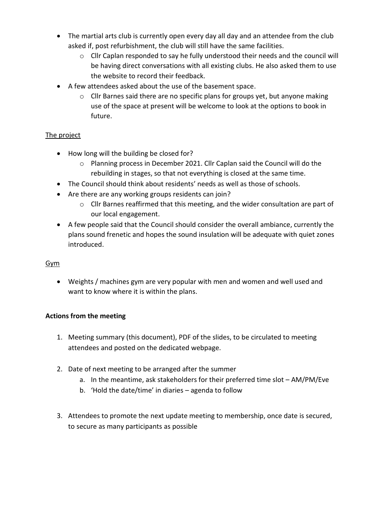- The martial arts club is currently open every day all day and an attendee from the club asked if, post refurbishment, the club will still have the same facilities.
	- $\circ$  Cllr Caplan responded to say he fully understood their needs and the council will be having direct conversations with all existing clubs. He also asked them to use the website to record their feedback.
- A few attendees asked about the use of the basement space.
	- o Cllr Barnes said there are no specific plans for groups yet, but anyone making use of the space at present will be welcome to look at the options to book in future.

# The project

- How long will the building be closed for?
	- $\circ$  Planning process in December 2021. Cllr Caplan said the Council will do the rebuilding in stages, so that not everything is closed at the same time.
- The Council should think about residents' needs as well as those of schools.
- Are there are any working groups residents can join?
	- o Cllr Barnes reaffirmed that this meeting, and the wider consultation are part of our local engagement.
- A few people said that the Council should consider the overall ambiance, currently the plans sound frenetic and hopes the sound insulation will be adequate with quiet zones introduced.

# Gym

• Weights / machines gym are very popular with men and women and well used and want to know where it is within the plans.

# **Actions from the meeting**

- 1. Meeting summary (this document), PDF of the slides, to be circulated to meeting attendees and posted on the dedicated webpage.
- 2. Date of next meeting to be arranged after the summer
	- a. In the meantime, ask stakeholders for their preferred time slot AM/PM/Eve
	- b. 'Hold the date/time' in diaries agenda to follow
- 3. Attendees to promote the next update meeting to membership, once date is secured, to secure as many participants as possible